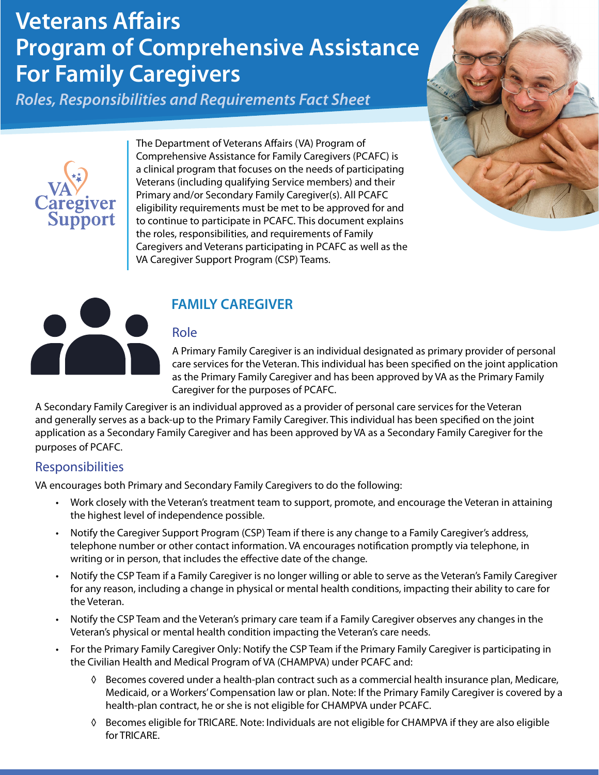# **Veterans Affairs Program of Comprehensive Assistance For Family Caregivers**

*Roles, Responsibilities and Requirements Fact Sheet*



The Department of Veterans Affairs (VA) Program of Comprehensive Assistance for Family Caregivers (PCAFC) is a clinical program that focuses on the needs of participating Veterans (including qualifying Service members) and their Primary and/or Secondary Family Caregiver(s). All PCAFC eligibility requirements must be met to be approved for and to continue to participate in PCAFC. This document explains the roles, responsibilities, and requirements of Family Caregivers and Veterans participating in PCAFC as well as the VA Caregiver Support Program (CSP) Teams.





# **FAMILY CAREGIVER**

#### Role

A Primary Family Caregiver is an individual designated as primary provider of personal care services for the Veteran. This individual has been specified on the joint application as the Primary Family Caregiver and has been approved by VA as the Primary Family Caregiver for the purposes of PCAFC.

A Secondary Family Caregiver is an individual approved as a provider of personal care services for the Veteran and generally serves as a back-up to the Primary Family Caregiver. This individual has been specified on the joint application as a Secondary Family Caregiver and has been approved by VA as a Secondary Family Caregiver for the purposes of PCAFC.

## **Responsibilities**

VA encourages both Primary and Secondary Family Caregivers to do the following:

- Work closely with the Veteran's treatment team to support, promote, and encourage the Veteran in attaining the highest level of independence possible.
- Notify the Caregiver Support Program (CSP) Team if there is any change to a Family Caregiver's address, telephone number or other contact information. VA encourages notification promptly via telephone, in writing or in person, that includes the effective date of the change.
- Notify the CSP Team if a Family Caregiver is no longer willing or able to serve as the Veteran's Family Caregiver for any reason, including a change in physical or mental health conditions, impacting their ability to care for the Veteran.
- Notify the CSP Team and the Veteran's primary care team if a Family Caregiver observes any changes in the Veteran's physical or mental health condition impacting the Veteran's care needs.
- For the Primary Family Caregiver Only: Notify the CSP Team if the Primary Family Caregiver is participating in the Civilian Health and Medical Program of VA (CHAMPVA) under PCAFC and:
	- ◊ Becomes covered under a health-plan contract such as a commercial health insurance plan, Medicare, Medicaid, or a Workers' Compensation law or plan. Note: If the Primary Family Caregiver is covered by a health-plan contract, he or she is not eligible for CHAMPVA under PCAFC.
	- ◊ Becomes eligible for TRICARE. Note: Individuals are not eligible for CHAMPVA if they are also eligible for TRICARE.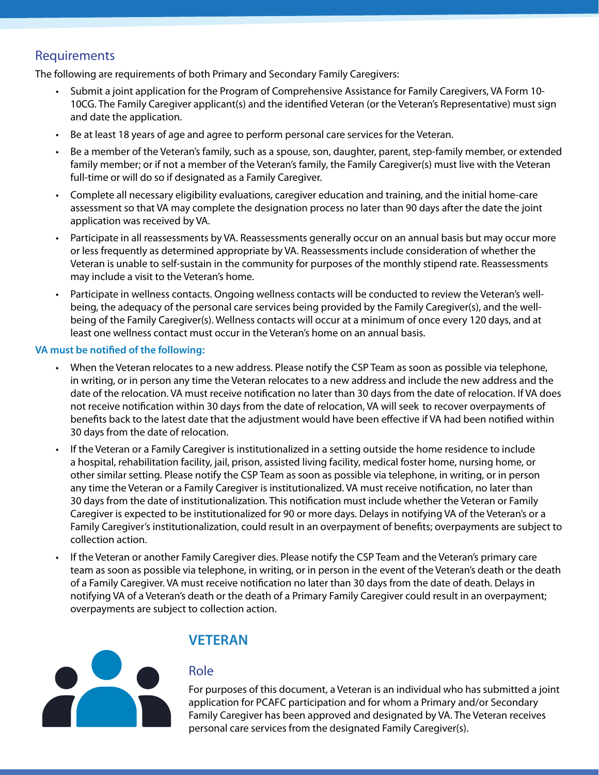## Requirements

The following are requirements of both Primary and Secondary Family Caregivers:

- Submit a joint application for the Program of Comprehensive Assistance for Family Caregivers, VA Form 10- 10CG. The Family Caregiver applicant(s) and the identified Veteran (or the Veteran's Representative) must sign and date the application.
- Be at least 18 years of age and agree to perform personal care services for the Veteran.
- Be a member of the Veteran's family, such as a spouse, son, daughter, parent, step-family member, or extended family member; or if not a member of the Veteran's family, the Family Caregiver(s) must live with the Veteran full-time or will do so if designated as a Family Caregiver.
- Complete all necessary eligibility evaluations, caregiver education and training, and the initial home-care assessment so that VA may complete the designation process no later than 90 days after the date the joint application was received by VA.
- Participate in all reassessments by VA. Reassessments generally occur on an annual basis but may occur more or less frequently as determined appropriate by VA. Reassessments include consideration of whether the Veteran is unable to self-sustain in the community for purposes of the monthly stipend rate. Reassessments may include a visit to the Veteran's home.
- Participate in wellness contacts. Ongoing wellness contacts will be conducted to review the Veteran's wellbeing, the adequacy of the personal care services being provided by the Family Caregiver(s), and the wellbeing of the Family Caregiver(s). Wellness contacts will occur at a minimum of once every 120 days, and at least one wellness contact must occur in the Veteran's home on an annual basis.

#### **VA must be notified of the following:**

- When the Veteran relocates to a new address. Please notify the CSP Team as soon as possible via telephone, in writing, or in person any time the Veteran relocates to a new address and include the new address and the date of the relocation. VA must receive notification no later than 30 days from the date of relocation. If VA does not receive notification within 30 days from the date of relocation, VA will seek to recover overpayments of benefits back to the latest date that the adjustment would have been effective if VA had been notified within 30 days from the date of relocation.
- If the Veteran or a Family Caregiver is institutionalized in a setting outside the home residence to include a hospital, rehabilitation facility, jail, prison, assisted living facility, medical foster home, nursing home, or other similar setting. Please notify the CSP Team as soon as possible via telephone, in writing, or in person any time the Veteran or a Family Caregiver is institutionalized. VA must receive notification, no later than 30 days from the date of institutionalization. This notification must include whether the Veteran or Family Caregiver is expected to be institutionalized for 90 or more days. Delays in notifying VA of the Veteran's or a Family Caregiver's institutionalization, could result in an overpayment of benefits; overpayments are subject to collection action.
- If the Veteran or another Family Caregiver dies. Please notify the CSP Team and the Veteran's primary care team as soon as possible via telephone, in writing, or in person in the event of the Veteran's death or the death of a Family Caregiver. VA must receive notification no later than 30 days from the date of death. Delays in notifying VA of a Veteran's death or the death of a Primary Family Caregiver could result in an overpayment; overpayments are subject to collection action.



### **VETERAN**

#### Role

For purposes of this document, a Veteran is an individual who has submitted a joint application for PCAFC participation and for whom a Primary and/or Secondary Family Caregiver has been approved and designated by VA. The Veteran receives personal care services from the designated Family Caregiver(s).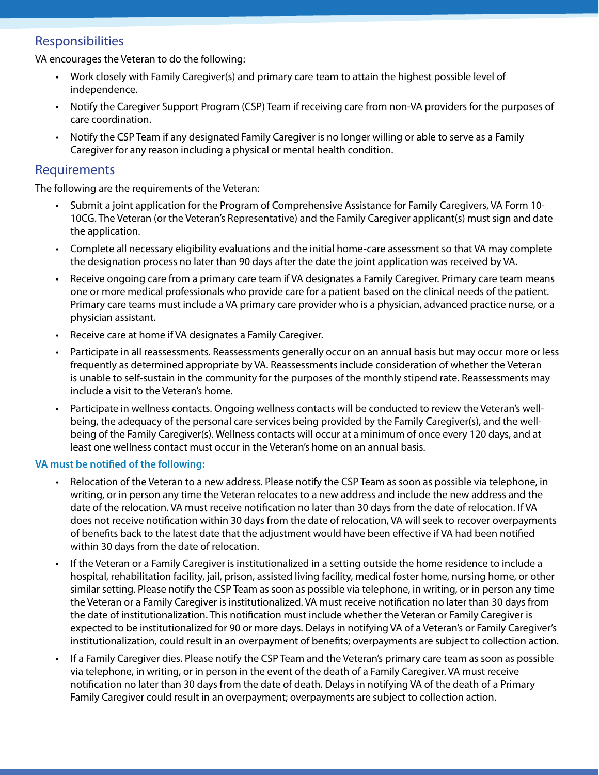### Responsibilities

VA encourages the Veteran to do the following:

- Work closely with Family Caregiver(s) and primary care team to attain the highest possible level of independence.
- Notify the Caregiver Support Program (CSP) Team if receiving care from non-VA providers for the purposes of care coordination.
- Notify the CSP Team if any designated Family Caregiver is no longer willing or able to serve as a Family Caregiver for any reason including a physical or mental health condition.

#### Requirements

The following are the requirements of the Veteran:

- Submit a joint application for the Program of Comprehensive Assistance for Family Caregivers, VA Form 10- 10CG. The Veteran (or the Veteran's Representative) and the Family Caregiver applicant(s) must sign and date the application.
- Complete all necessary eligibility evaluations and the initial home-care assessment so that VA may complete the designation process no later than 90 days after the date the joint application was received by VA.
- Receive ongoing care from a primary care team if VA designates a Family Caregiver. Primary care team means one or more medical professionals who provide care for a patient based on the clinical needs of the patient. Primary care teams must include a VA primary care provider who is a physician, advanced practice nurse, or a physician assistant.
- Receive care at home if VA designates a Family Caregiver.
- Participate in all reassessments. Reassessments generally occur on an annual basis but may occur more or less frequently as determined appropriate by VA. Reassessments include consideration of whether the Veteran is unable to self-sustain in the community for the purposes of the monthly stipend rate. Reassessments may include a visit to the Veteran's home.
- Participate in wellness contacts. Ongoing wellness contacts will be conducted to review the Veteran's wellbeing, the adequacy of the personal care services being provided by the Family Caregiver(s), and the wellbeing of the Family Caregiver(s). Wellness contacts will occur at a minimum of once every 120 days, and at least one wellness contact must occur in the Veteran's home on an annual basis.

#### **VA must be notified of the following:**

- Relocation of the Veteran to a new address. Please notify the CSP Team as soon as possible via telephone, in writing, or in person any time the Veteran relocates to a new address and include the new address and the date of the relocation. VA must receive notification no later than 30 days from the date of relocation. If VA does not receive notification within 30 days from the date of relocation, VA will seek to recover overpayments of benefits back to the latest date that the adjustment would have been effective if VA had been notified within 30 days from the date of relocation.
- If the Veteran or a Family Caregiver is institutionalized in a setting outside the home residence to include a hospital, rehabilitation facility, jail, prison, assisted living facility, medical foster home, nursing home, or other similar setting. Please notify the CSP Team as soon as possible via telephone, in writing, or in person any time the Veteran or a Family Caregiver is institutionalized. VA must receive notification no later than 30 days from the date of institutionalization. This notification must include whether the Veteran or Family Caregiver is expected to be institutionalized for 90 or more days. Delays in notifying VA of a Veteran's or Family Caregiver's institutionalization, could result in an overpayment of benefits; overpayments are subject to collection action.
- If a Family Caregiver dies. Please notify the CSP Team and the Veteran's primary care team as soon as possible via telephone, in writing, or in person in the event of the death of a Family Caregiver. VA must receive notification no later than 30 days from the date of death. Delays in notifying VA of the death of a Primary Family Caregiver could result in an overpayment; overpayments are subject to collection action.